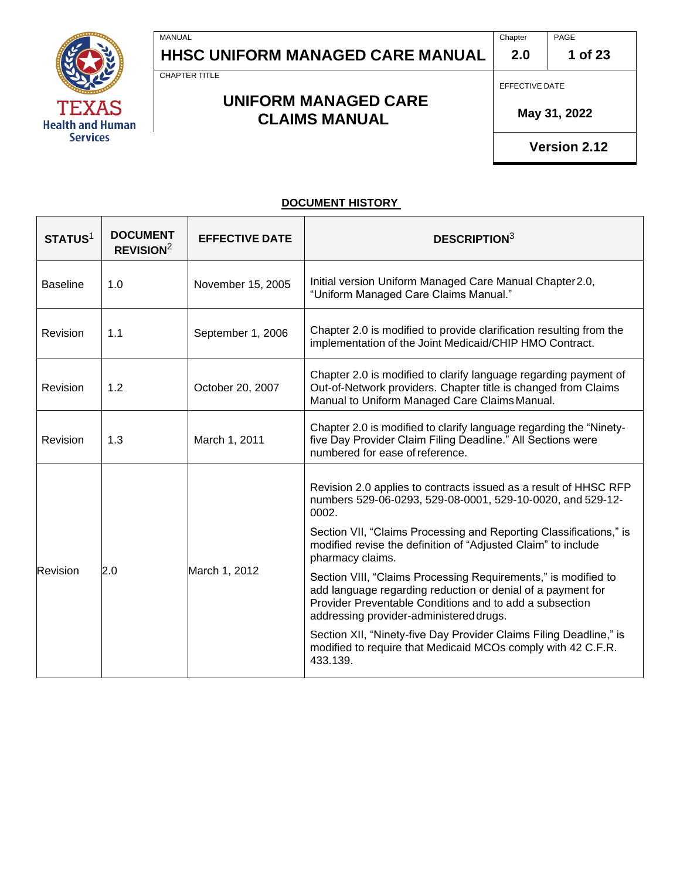

CHAPTER TITLE

MANUAL

### **UNIFORM MANAGED CARE CLAIMS MANUAL**

EFFECTIVE DATE

**2.0**

 **May 31, 2022**

**Version 2.12**

#### **DOCUMENT HISTORY**

| STATUS <sup>1</sup> | <b>DOCUMENT</b><br>REVISION <sup>2</sup> | <b>EFFECTIVE DATE</b> | <b>DESCRIPTION3</b>                                                                                                                                                                                                                 |  |
|---------------------|------------------------------------------|-----------------------|-------------------------------------------------------------------------------------------------------------------------------------------------------------------------------------------------------------------------------------|--|
| <b>Baseline</b>     | 1.0                                      | November 15, 2005     | Initial version Uniform Managed Care Manual Chapter 2.0,<br>"Uniform Managed Care Claims Manual."                                                                                                                                   |  |
| <b>Revision</b>     | 1.1                                      | September 1, 2006     | Chapter 2.0 is modified to provide clarification resulting from the<br>implementation of the Joint Medicaid/CHIP HMO Contract.                                                                                                      |  |
| <b>Revision</b>     | 1.2                                      | October 20, 2007      | Chapter 2.0 is modified to clarify language regarding payment of<br>Out-of-Network providers. Chapter title is changed from Claims<br>Manual to Uniform Managed Care Claims Manual.                                                 |  |
| <b>Revision</b>     | 1.3                                      | March 1, 2011         | Chapter 2.0 is modified to clarify language regarding the "Ninety-<br>five Day Provider Claim Filing Deadline." All Sections were<br>numbered for ease of reference.                                                                |  |
| Revision            | 2.0                                      | March 1, 2012         | Revision 2.0 applies to contracts issued as a result of HHSC RFP<br>numbers 529-06-0293, 529-08-0001, 529-10-0020, and 529-12-<br>0002.                                                                                             |  |
|                     |                                          |                       | Section VII, "Claims Processing and Reporting Classifications," is<br>modified revise the definition of "Adjusted Claim" to include<br>pharmacy claims.                                                                             |  |
|                     |                                          |                       | Section VIII, "Claims Processing Requirements," is modified to<br>add language regarding reduction or denial of a payment for<br>Provider Preventable Conditions and to add a subsection<br>addressing provider-administered drugs. |  |
|                     |                                          |                       | Section XII, "Ninety-five Day Provider Claims Filing Deadline," is<br>modified to require that Medicaid MCOs comply with 42 C.F.R.<br>433.139.                                                                                      |  |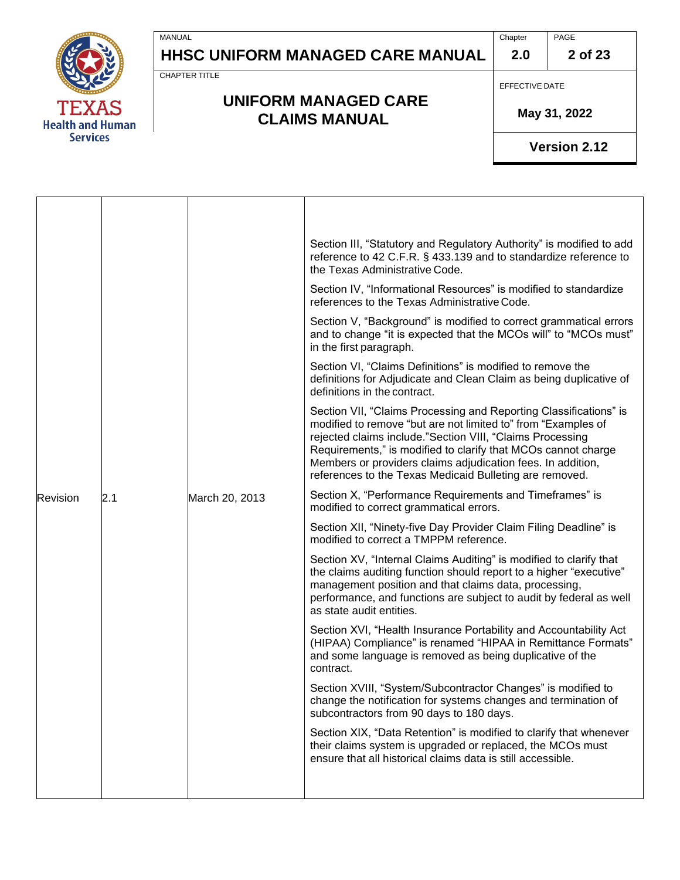

CHAPTER TITLE

MANUAL

### **UNIFORM MANAGED CARE CLAIMS MANUAL**

EFFECTIVE DATE

 **May 31, 2022**

|          |     |                | Section III, "Statutory and Regulatory Authority" is modified to add<br>reference to 42 C.F.R. § 433.139 and to standardize reference to<br>the Texas Administrative Code.                                                                                                                                                                                                                 |
|----------|-----|----------------|--------------------------------------------------------------------------------------------------------------------------------------------------------------------------------------------------------------------------------------------------------------------------------------------------------------------------------------------------------------------------------------------|
|          |     |                | Section IV, "Informational Resources" is modified to standardize<br>references to the Texas Administrative Code.                                                                                                                                                                                                                                                                           |
|          |     |                | Section V, "Background" is modified to correct grammatical errors<br>and to change "it is expected that the MCOs will" to "MCOs must"<br>in the first paragraph.                                                                                                                                                                                                                           |
|          |     |                | Section VI, "Claims Definitions" is modified to remove the<br>definitions for Adjudicate and Clean Claim as being duplicative of<br>definitions in the contract.                                                                                                                                                                                                                           |
|          |     |                | Section VII, "Claims Processing and Reporting Classifications" is<br>modified to remove "but are not limited to" from "Examples of<br>rejected claims include."Section VIII, "Claims Processing<br>Requirements," is modified to clarify that MCOs cannot charge<br>Members or providers claims adjudication fees. In addition,<br>references to the Texas Medicaid Bulleting are removed. |
| Revision | 2.1 | March 20, 2013 | Section X, "Performance Requirements and Timeframes" is<br>modified to correct grammatical errors.                                                                                                                                                                                                                                                                                         |
|          |     |                | Section XII, "Ninety-five Day Provider Claim Filing Deadline" is<br>modified to correct a TMPPM reference.                                                                                                                                                                                                                                                                                 |
|          |     |                | Section XV, "Internal Claims Auditing" is modified to clarify that<br>the claims auditing function should report to a higher "executive"<br>management position and that claims data, processing,<br>performance, and functions are subject to audit by federal as well<br>as state audit entities.                                                                                        |
|          |     |                | Section XVI, "Health Insurance Portability and Accountability Act<br>(HIPAA) Compliance" is renamed "HIPAA in Remittance Formats"<br>and some language is removed as being duplicative of the<br>contract.                                                                                                                                                                                 |
|          |     |                | Section XVIII, "System/Subcontractor Changes" is modified to<br>change the notification for systems changes and termination of<br>subcontractors from 90 days to 180 days.                                                                                                                                                                                                                 |
|          |     |                | Section XIX, "Data Retention" is modified to clarify that whenever<br>their claims system is upgraded or replaced, the MCOs must<br>ensure that all historical claims data is still accessible.                                                                                                                                                                                            |
|          |     |                |                                                                                                                                                                                                                                                                                                                                                                                            |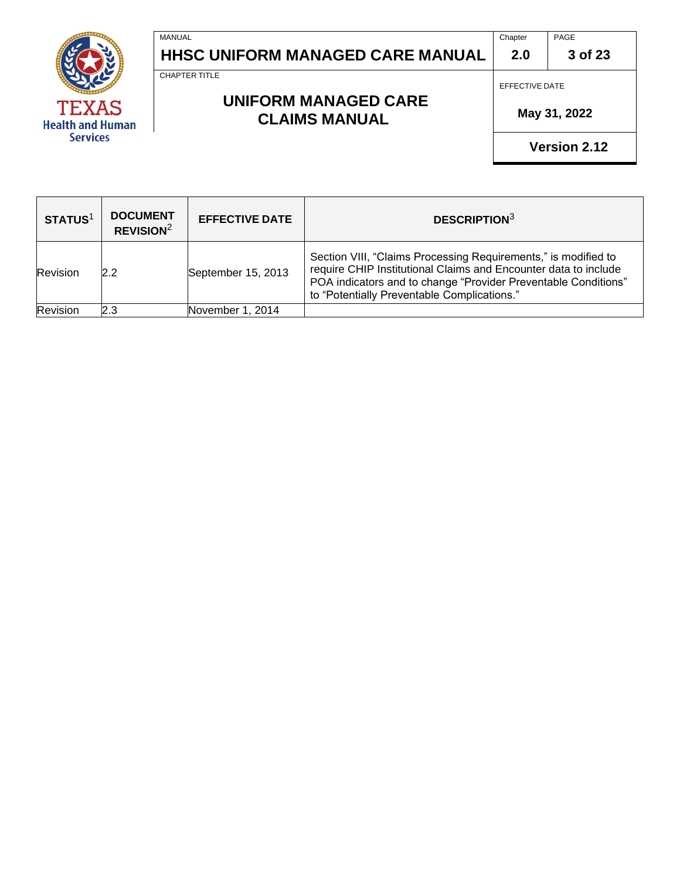

#### **3 of 23**

CHAPTER TITLE

MANUAL

### **UNIFORM MANAGED CARE CLAIMS MANUAL**

EFFECTIVE DATE

**2.0**

 **May 31, 2022**

| STATUS <sup>1</sup> | <b>DOCUMENT</b><br>REVISION <sup>2</sup> | <b>EFFECTIVE DATE</b> | <b>DESCRIPTION3</b>                                                                                                                                                                                                                                |
|---------------------|------------------------------------------|-----------------------|----------------------------------------------------------------------------------------------------------------------------------------------------------------------------------------------------------------------------------------------------|
| Revision            | 2.2                                      | September 15, 2013    | Section VIII, "Claims Processing Requirements," is modified to<br>require CHIP Institutional Claims and Encounter data to include<br>POA indicators and to change "Provider Preventable Conditions"<br>to "Potentially Preventable Complications." |
| Revision            | 2.3                                      | November 1, 2014      |                                                                                                                                                                                                                                                    |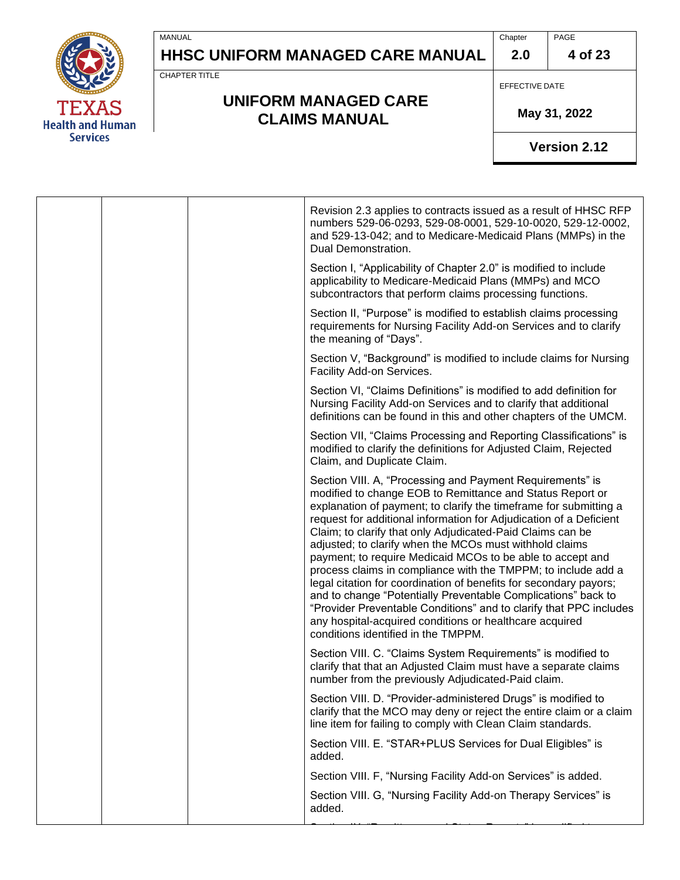

CHAPTER TITLE

MANUAL

### **UNIFORM MANAGED CARE CLAIMS MANUAL**

EFFECTIVE DATE

 **May 31, 2022**

|  | Revision 2.3 applies to contracts issued as a result of HHSC RFP<br>numbers 529-06-0293, 529-08-0001, 529-10-0020, 529-12-0002,<br>and 529-13-042; and to Medicare-Medicaid Plans (MMPs) in the<br>Dual Demonstration.                                                                                                                                                                                                                                                                                                                                                                                                                                                                                                                                                                                                                  |
|--|-----------------------------------------------------------------------------------------------------------------------------------------------------------------------------------------------------------------------------------------------------------------------------------------------------------------------------------------------------------------------------------------------------------------------------------------------------------------------------------------------------------------------------------------------------------------------------------------------------------------------------------------------------------------------------------------------------------------------------------------------------------------------------------------------------------------------------------------|
|  | Section I, "Applicability of Chapter 2.0" is modified to include<br>applicability to Medicare-Medicaid Plans (MMPs) and MCO<br>subcontractors that perform claims processing functions.                                                                                                                                                                                                                                                                                                                                                                                                                                                                                                                                                                                                                                                 |
|  | Section II, "Purpose" is modified to establish claims processing<br>requirements for Nursing Facility Add-on Services and to clarify<br>the meaning of "Days".                                                                                                                                                                                                                                                                                                                                                                                                                                                                                                                                                                                                                                                                          |
|  | Section V, "Background" is modified to include claims for Nursing<br>Facility Add-on Services.                                                                                                                                                                                                                                                                                                                                                                                                                                                                                                                                                                                                                                                                                                                                          |
|  | Section VI, "Claims Definitions" is modified to add definition for<br>Nursing Facility Add-on Services and to clarify that additional<br>definitions can be found in this and other chapters of the UMCM.                                                                                                                                                                                                                                                                                                                                                                                                                                                                                                                                                                                                                               |
|  | Section VII, "Claims Processing and Reporting Classifications" is<br>modified to clarify the definitions for Adjusted Claim, Rejected<br>Claim, and Duplicate Claim.                                                                                                                                                                                                                                                                                                                                                                                                                                                                                                                                                                                                                                                                    |
|  | Section VIII. A, "Processing and Payment Requirements" is<br>modified to change EOB to Remittance and Status Report or<br>explanation of payment; to clarify the timeframe for submitting a<br>request for additional information for Adjudication of a Deficient<br>Claim; to clarify that only Adjudicated-Paid Claims can be<br>adjusted; to clarify when the MCOs must withhold claims<br>payment; to require Medicaid MCOs to be able to accept and<br>process claims in compliance with the TMPPM; to include add a<br>legal citation for coordination of benefits for secondary payors;<br>and to change "Potentially Preventable Complications" back to<br>"Provider Preventable Conditions" and to clarify that PPC includes<br>any hospital-acquired conditions or healthcare acquired<br>conditions identified in the TMPPM. |
|  | Section VIII. C. "Claims System Requirements" is modified to<br>clarify that that an Adjusted Claim must have a separate claims<br>number from the previously Adjudicated-Paid claim.                                                                                                                                                                                                                                                                                                                                                                                                                                                                                                                                                                                                                                                   |
|  | Section VIII. D. "Provider-administered Drugs" is modified to<br>clarify that the MCO may deny or reject the entire claim or a claim<br>line item for failing to comply with Clean Claim standards.                                                                                                                                                                                                                                                                                                                                                                                                                                                                                                                                                                                                                                     |
|  | Section VIII. E. "STAR+PLUS Services for Dual Eligibles" is<br>added.                                                                                                                                                                                                                                                                                                                                                                                                                                                                                                                                                                                                                                                                                                                                                                   |
|  | Section VIII. F, "Nursing Facility Add-on Services" is added.                                                                                                                                                                                                                                                                                                                                                                                                                                                                                                                                                                                                                                                                                                                                                                           |
|  | Section VIII. G, "Nursing Facility Add-on Therapy Services" is<br>added.                                                                                                                                                                                                                                                                                                                                                                                                                                                                                                                                                                                                                                                                                                                                                                |
|  |                                                                                                                                                                                                                                                                                                                                                                                                                                                                                                                                                                                                                                                                                                                                                                                                                                         |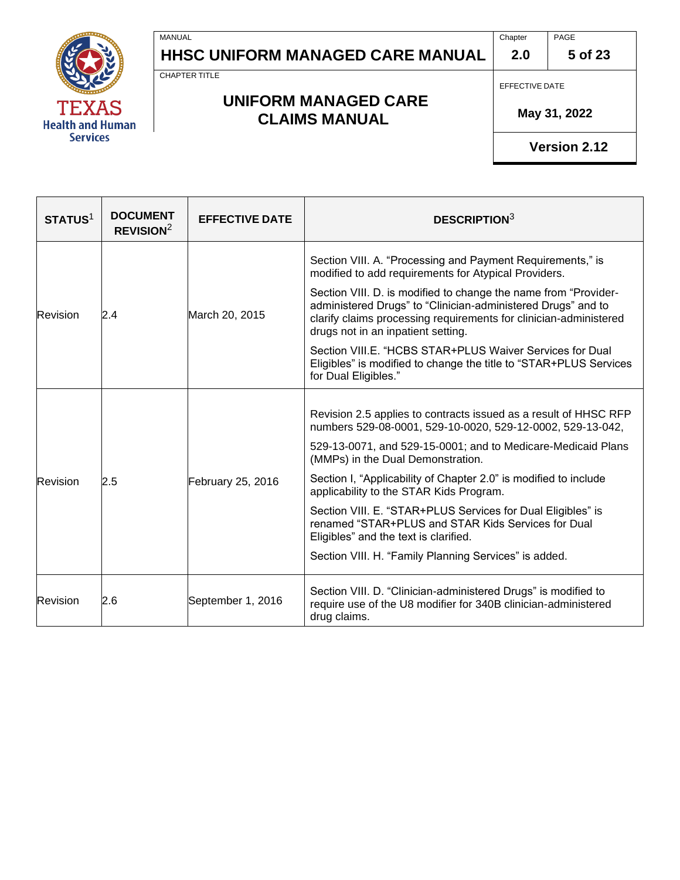

CHAPTER TITLE

MANUAL

### **UNIFORM MANAGED CARE CLAIMS MANUAL**

EFFECTIVE DATE

**2.0**

 **May 31, 2022**

| STATUS <sup>1</sup>  | <b>DOCUMENT</b><br>REVISION <sup>2</sup> | <b>EFFECTIVE DATE</b> | <b>DESCRIPTION3</b>                                                                                                                                                                                                                        |
|----------------------|------------------------------------------|-----------------------|--------------------------------------------------------------------------------------------------------------------------------------------------------------------------------------------------------------------------------------------|
|                      |                                          |                       | Section VIII. A. "Processing and Payment Requirements," is<br>modified to add requirements for Atypical Providers.                                                                                                                         |
| Revision<br>Revision | 2.4                                      | March 20, 2015        | Section VIII. D. is modified to change the name from "Provider-<br>administered Drugs" to "Clinician-administered Drugs" and to<br>clarify claims processing requirements for clinician-administered<br>drugs not in an inpatient setting. |
|                      |                                          |                       | Section VIII.E. "HCBS STAR+PLUS Waiver Services for Dual<br>Eligibles" is modified to change the title to "STAR+PLUS Services"<br>for Dual Eligibles."                                                                                     |
|                      | 2.5                                      | February 25, 2016     | Revision 2.5 applies to contracts issued as a result of HHSC RFP<br>numbers 529-08-0001, 529-10-0020, 529-12-0002, 529-13-042,                                                                                                             |
|                      |                                          |                       | 529-13-0071, and 529-15-0001; and to Medicare-Medicaid Plans<br>(MMPs) in the Dual Demonstration.                                                                                                                                          |
|                      |                                          |                       | Section I, "Applicability of Chapter 2.0" is modified to include<br>applicability to the STAR Kids Program.                                                                                                                                |
|                      |                                          |                       | Section VIII. E. "STAR+PLUS Services for Dual Eligibles" is<br>renamed "STAR+PLUS and STAR Kids Services for Dual<br>Eligibles" and the text is clarified.                                                                                 |
|                      |                                          |                       | Section VIII. H. "Family Planning Services" is added.                                                                                                                                                                                      |
| Revision             | 2.6                                      | September 1, 2016     | Section VIII. D. "Clinician-administered Drugs" is modified to<br>require use of the U8 modifier for 340B clinician-administered<br>drug claims.                                                                                           |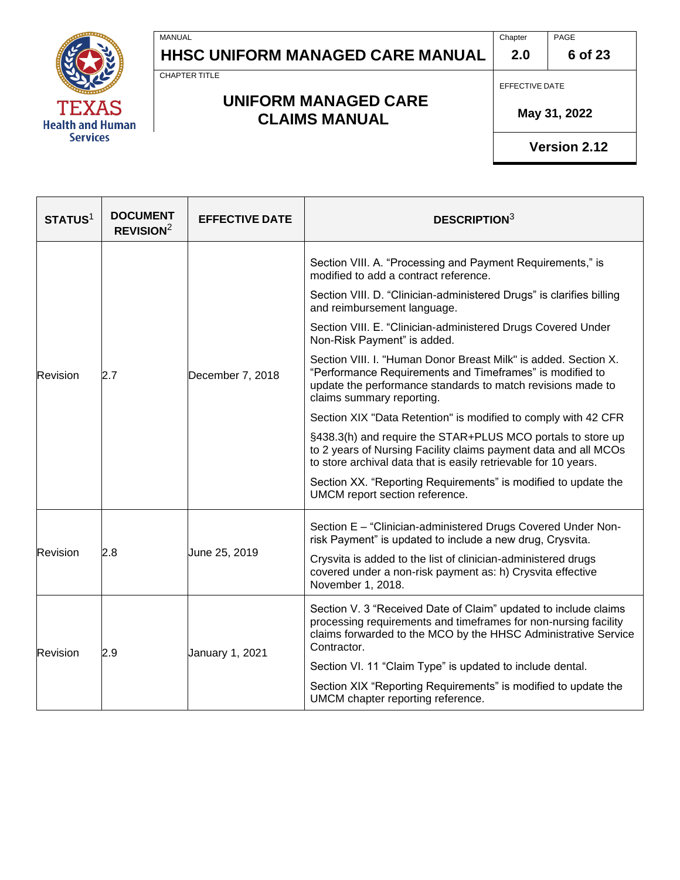

CHAPTER TITLE

MANUAL

### **UNIFORM MANAGED CARE CLAIMS MANUAL**

EFFECTIVE DATE

**2.0**

 **May 31, 2022**

| STATUS <sup>1</sup>              | <b>DOCUMENT</b><br>REVISION <sup>2</sup>                                                                                                | <b>EFFECTIVE DATE</b>                                                                                                                                                                                | <b>DESCRIPTION3</b>                                                                                                                                                                                                     |
|----------------------------------|-----------------------------------------------------------------------------------------------------------------------------------------|------------------------------------------------------------------------------------------------------------------------------------------------------------------------------------------------------|-------------------------------------------------------------------------------------------------------------------------------------------------------------------------------------------------------------------------|
| Revision<br>Revision<br>Revision |                                                                                                                                         | December 7, 2018                                                                                                                                                                                     | Section VIII. A. "Processing and Payment Requirements," is<br>modified to add a contract reference.                                                                                                                     |
|                                  |                                                                                                                                         |                                                                                                                                                                                                      | Section VIII. D. "Clinician-administered Drugs" is clarifies billing<br>and reimbursement language.                                                                                                                     |
|                                  | 2.7                                                                                                                                     |                                                                                                                                                                                                      | Section VIII. E. "Clinician-administered Drugs Covered Under<br>Non-Risk Payment" is added.                                                                                                                             |
|                                  |                                                                                                                                         |                                                                                                                                                                                                      | Section VIII. I. "Human Donor Breast Milk" is added. Section X.<br>"Performance Requirements and Timeframes" is modified to<br>update the performance standards to match revisions made to<br>claims summary reporting. |
|                                  |                                                                                                                                         |                                                                                                                                                                                                      | Section XIX "Data Retention" is modified to comply with 42 CFR                                                                                                                                                          |
|                                  |                                                                                                                                         |                                                                                                                                                                                                      | §438.3(h) and require the STAR+PLUS MCO portals to store up<br>to 2 years of Nursing Facility claims payment data and all MCOs<br>to store archival data that is easily retrievable for 10 years.                       |
|                                  |                                                                                                                                         |                                                                                                                                                                                                      | Section XX. "Reporting Requirements" is modified to update the<br>UMCM report section reference.                                                                                                                        |
|                                  | 2.8<br>June 25, 2019<br>November 1, 2018.                                                                                               | Section E - "Clinician-administered Drugs Covered Under Non-<br>risk Payment" is updated to include a new drug, Crysvita.                                                                            |                                                                                                                                                                                                                         |
|                                  |                                                                                                                                         |                                                                                                                                                                                                      | Crysvita is added to the list of clinician-administered drugs<br>covered under a non-risk payment as: h) Crysvita effective                                                                                             |
|                                  | Contractor.<br>January 1, 2021<br>2.9<br>Section VI. 11 "Claim Type" is updated to include dental.<br>UMCM chapter reporting reference. | Section V. 3 "Received Date of Claim" updated to include claims<br>processing requirements and timeframes for non-nursing facility<br>claims forwarded to the MCO by the HHSC Administrative Service |                                                                                                                                                                                                                         |
|                                  |                                                                                                                                         |                                                                                                                                                                                                      |                                                                                                                                                                                                                         |
|                                  |                                                                                                                                         |                                                                                                                                                                                                      | Section XIX "Reporting Requirements" is modified to update the                                                                                                                                                          |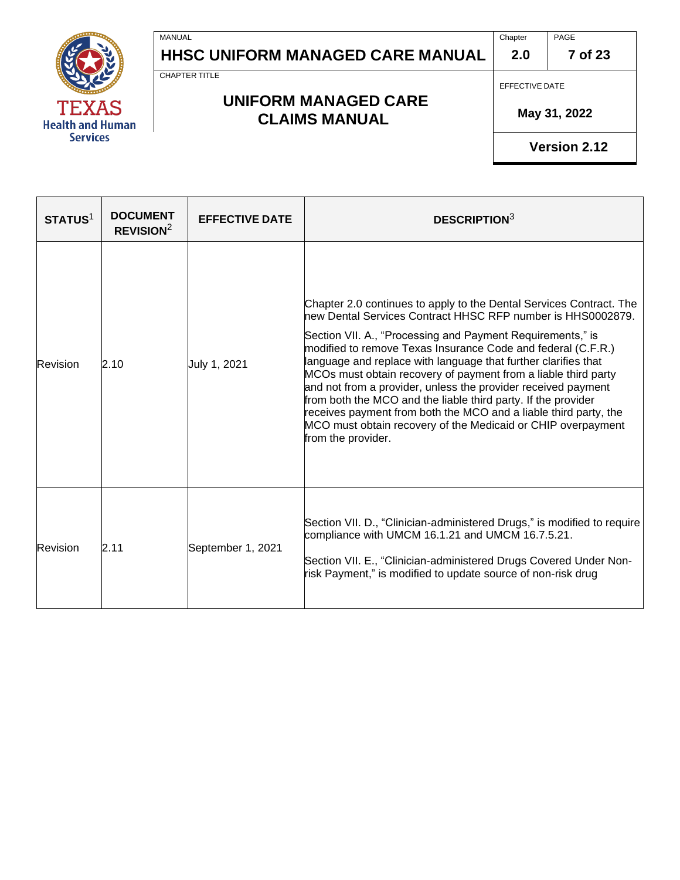

**Chapter 2.0** PAGE

**7 of 23**

CHAPTER TITLE

MANUAL

### **UNIFORM MANAGED CARE CLAIMS MANUAL**

EFFECTIVE DATE

 **May 31, 2022**

| STATUS <sup>1</sup> | <b>DOCUMENT</b><br>REVISION <sup>2</sup> | <b>EFFECTIVE DATE</b> | <b>DESCRIPTION3</b>                                                                                                                                                                                                                                                                                                                                                                                                                                                                                                                                                                                                                                                                              |
|---------------------|------------------------------------------|-----------------------|--------------------------------------------------------------------------------------------------------------------------------------------------------------------------------------------------------------------------------------------------------------------------------------------------------------------------------------------------------------------------------------------------------------------------------------------------------------------------------------------------------------------------------------------------------------------------------------------------------------------------------------------------------------------------------------------------|
| Revision            | 2.10                                     | July 1, 2021          | Chapter 2.0 continues to apply to the Dental Services Contract. The<br>hew Dental Services Contract HHSC RFP number is HHS0002879.<br>Section VII. A., "Processing and Payment Requirements," is<br>modified to remove Texas Insurance Code and federal (C.F.R.)<br>language and replace with language that further clarifies that<br>MCOs must obtain recovery of payment from a liable third party<br>and not from a provider, unless the provider received payment<br>from both the MCO and the liable third party. If the provider<br>receives payment from both the MCO and a liable third party, the<br>MCO must obtain recovery of the Medicaid or CHIP overpayment<br>from the provider. |
| Revision            | 2.11                                     | September 1, 2021     | Section VII. D., "Clinician-administered Drugs," is modified to require<br>compliance with UMCM 16.1.21 and UMCM 16.7.5.21.<br>Section VII. E., "Clinician-administered Drugs Covered Under Non-<br>risk Payment," is modified to update source of non-risk drug                                                                                                                                                                                                                                                                                                                                                                                                                                 |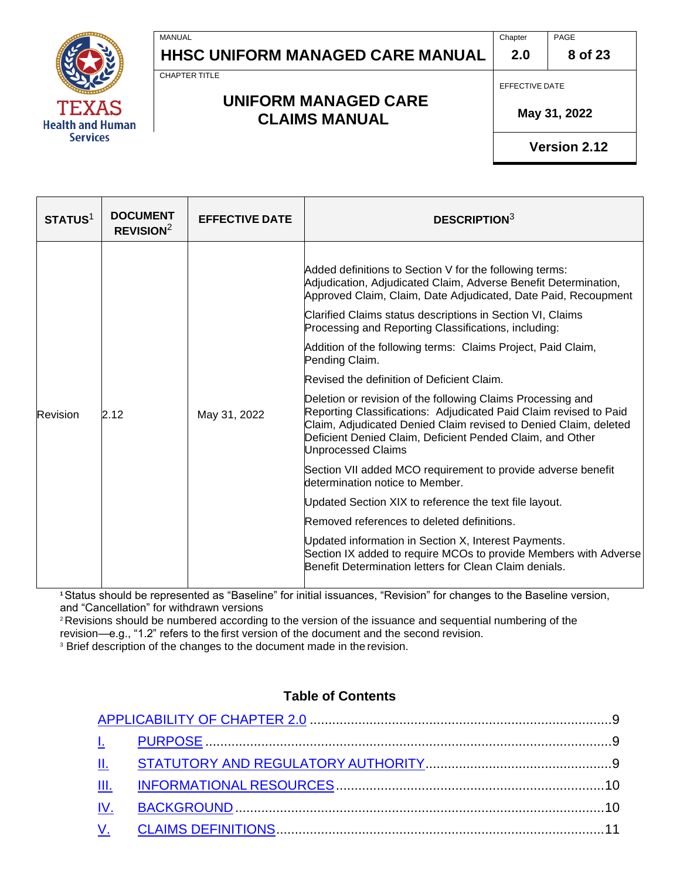

CHAPTER TITLE

MANUAL

#### **UNIFORM MANAGED CARE CLAIMS MANUAL**

EFFECTIVE DATE

**2.0**

 **May 31, 2022**

**Version 2.12**

| STATUS <sup>1</sup> | <b>DOCUMENT</b><br>REVISION <sup>2</sup> | <b>EFFECTIVE DATE</b> | <b>DESCRIPTION</b> <sup>3</sup>                                                                                                                                                                                                                                                                                                                                                                                                                                                                                                                                                                                                                                                                                                                                                                                                                                                                                                                                                                                                                                                                                                                       |
|---------------------|------------------------------------------|-----------------------|-------------------------------------------------------------------------------------------------------------------------------------------------------------------------------------------------------------------------------------------------------------------------------------------------------------------------------------------------------------------------------------------------------------------------------------------------------------------------------------------------------------------------------------------------------------------------------------------------------------------------------------------------------------------------------------------------------------------------------------------------------------------------------------------------------------------------------------------------------------------------------------------------------------------------------------------------------------------------------------------------------------------------------------------------------------------------------------------------------------------------------------------------------|
| Revision            | 2.12                                     | May 31, 2022          | Added definitions to Section V for the following terms:<br>Adjudication, Adjudicated Claim, Adverse Benefit Determination,<br>Approved Claim, Claim, Date Adjudicated, Date Paid, Recoupment<br>Clarified Claims status descriptions in Section VI, Claims<br>Processing and Reporting Classifications, including:<br>Addition of the following terms: Claims Project, Paid Claim,<br>Pending Claim.<br>Revised the definition of Deficient Claim.<br>Deletion or revision of the following Claims Processing and<br>Reporting Classifications: Adjudicated Paid Claim revised to Paid<br>Claim, Adjudicated Denied Claim revised to Denied Claim, deleted<br>Deficient Denied Claim, Deficient Pended Claim, and Other<br><b>Unprocessed Claims</b><br>Section VII added MCO requirement to provide adverse benefit<br>determination notice to Member.<br>Updated Section XIX to reference the text file layout.<br>Removed references to deleted definitions.<br>Updated information in Section X, Interest Payments.<br>Section IX added to require MCOs to provide Members with Adverse<br>Benefit Determination letters for Clean Claim denials. |

**<sup>1</sup>**Status should be represented as "Baseline" for initial issuances, "Revision" for changes to the Baseline version, and "Cancellation" for withdrawn versions

<sup>2</sup> Revisions should be numbered according to the version of the issuance and sequential numbering of the revision—e.g., "1.2" refers to the first version of the document and the second revision.

<sup>3</sup> Brief description of the changes to the document made in the revision.

#### **Table of Contents**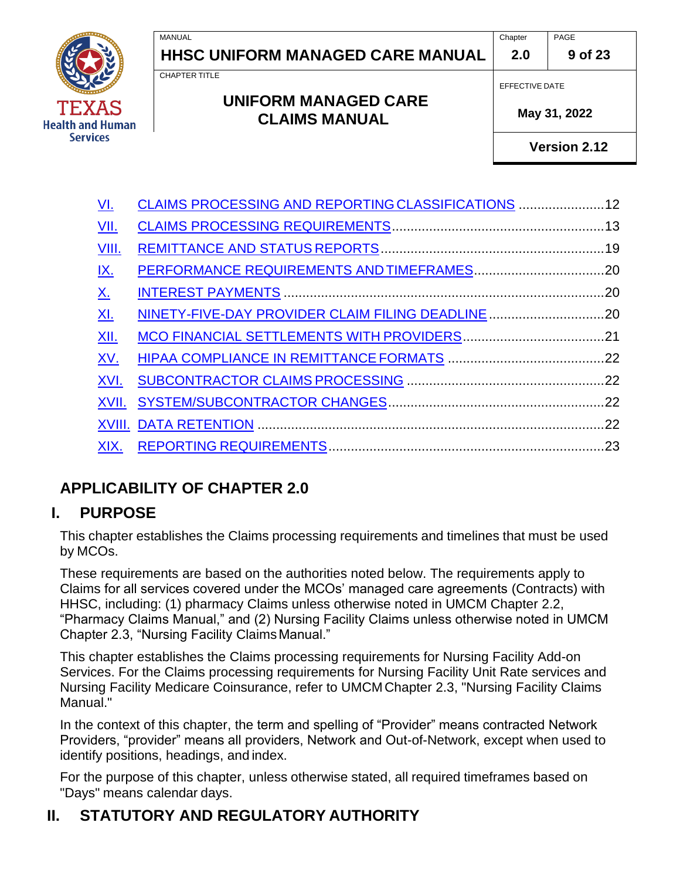Chapter PAGE

**9 of 23**

CHAPTER TITLE

#### **UNIFORM MANAGED CARE CLAIMS MANUAL**

EFFECTIVE DATE

**2.0**

 **May 31, 2022**

| <u>VI.</u>   | CLAIMS PROCESSING AND REPORTING CLASSIFICATIONS  12 |  |
|--------------|-----------------------------------------------------|--|
| VII.         |                                                     |  |
| <u>VIII.</u> |                                                     |  |
| <u>IX.</u>   |                                                     |  |
| <u>X.</u>    |                                                     |  |
| XI.          | NINETY-FIVE-DAY PROVIDER CLAIM FILING DEADLINE 20   |  |
| <u>XII.</u>  |                                                     |  |
| XV.          |                                                     |  |
| XVI.         |                                                     |  |
| XVII.        |                                                     |  |
|              |                                                     |  |
| XIX.         |                                                     |  |
|              |                                                     |  |

# <span id="page-8-0"></span>**APPLICABILITY OF CHAPTER 2.0**

### <span id="page-8-1"></span>**I. PURPOSE**

This chapter establishes the Claims processing requirements and timelines that must be used by MCOs.

These requirements are based on the authorities noted below. The requirements apply to Claims for all services covered under the MCOs' managed care agreements (Contracts) with HHSC, including: (1) pharmacy Claims unless otherwise noted in UMCM Chapter 2.2, "Pharmacy Claims Manual," and (2) Nursing Facility Claims unless otherwise noted in UMCM Chapter 2.3, "Nursing Facility ClaimsManual."

This chapter establishes the Claims processing requirements for Nursing Facility Add-on Services. For the Claims processing requirements for Nursing Facility Unit Rate services and Nursing Facility Medicare Coinsurance, refer to UMCM Chapter 2.3, "Nursing Facility Claims Manual."

In the context of this chapter, the term and spelling of "Provider" means contracted Network Providers, "provider" means all providers, Network and Out-of-Network, except when used to identify positions, headings, and index.

For the purpose of this chapter, unless otherwise stated, all required timeframes based on "Days" means calendar days.

# <span id="page-8-2"></span>**II. STATUTORY AND REGULATORY AUTHORITY**

**Health and Human Services**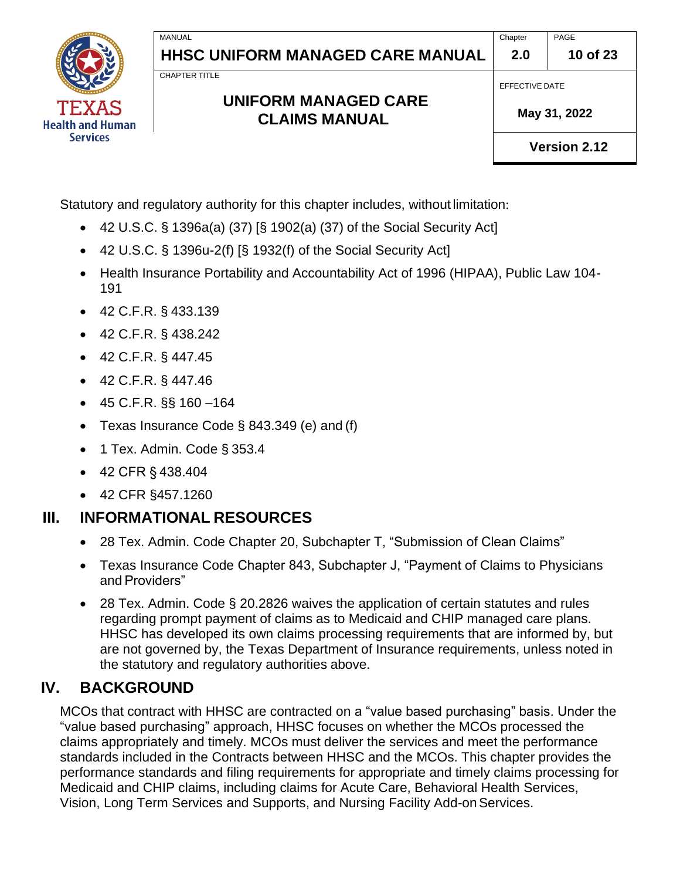**Chapter 2.0**

**10 of 23**

CHAPTER TITLE

MANUAL

### **UNIFORM MANAGED CARE CLAIMS MANUAL**

EFFECTIVE DATE

 **May 31, 2022**

PAGE

**Version 2.12**

Statutory and regulatory authority for this chapter includes, without limitation:

- 42 U.S.C. § 1396a(a) (37) [§ 1902(a) (37) of the Social Security Act]
- 42 U.S.C. § 1396u-2(f) [§ 1932(f) of the Social Security Act]
- Health Insurance Portability and Accountability Act of 1996 (HIPAA), Public Law 104- 191
- 42 C.F.R. § 433.139
- 42 C.F.R. § 438.242
- 42 C.F.R. § 447.45
- 42 C.F.R. § 447.46
- 45 C.F.R. §§ 160 –164
- Texas Insurance Code § 843.349 (e) and (f)
- 1 Tex. Admin. Code § 353.4
- 42 CFR § 438.404
- 42 CFR §457.1260

# <span id="page-9-0"></span>**III. INFORMATIONAL RESOURCES**

- 28 Tex. Admin. Code Chapter 20, Subchapter T, "Submission of Clean Claims"
- Texas Insurance Code Chapter 843, Subchapter J, "Payment of Claims to Physicians and Providers"
- 28 Tex. Admin. Code § 20.2826 waives the application of certain statutes and rules regarding prompt payment of claims as to Medicaid and CHIP managed care plans. HHSC has developed its own claims processing requirements that are informed by, but are not governed by, the Texas Department of Insurance requirements, unless noted in the statutory and regulatory authorities above.

# <span id="page-9-1"></span>**IV. BACKGROUND**

MCOs that contract with HHSC are contracted on a "value based purchasing" basis. Under the "value based purchasing" approach, HHSC focuses on whether the MCOs processed the claims appropriately and timely. MCOs must deliver the services and meet the performance standards included in the Contracts between HHSC and the MCOs. This chapter provides the performance standards and filing requirements for appropriate and timely claims processing for Medicaid and CHIP claims, including claims for Acute Care, Behavioral Health Services, Vision, Long Term Services and Supports, and Nursing Facility Add-onServices.

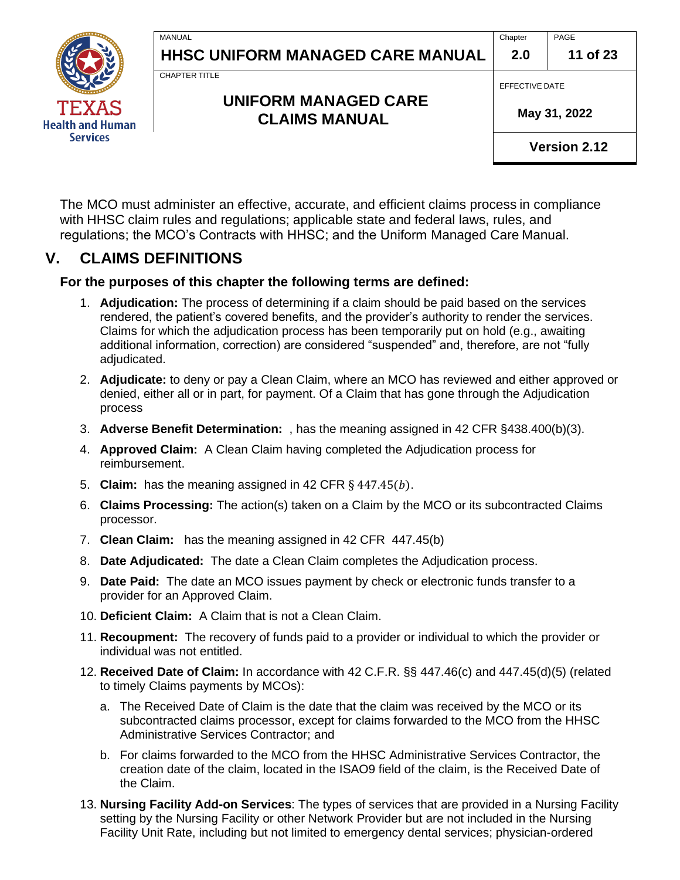**11 of 23**



CHAPTER TITLE

MANUAL

### **UNIFORM MANAGED CARE CLAIMS MANUAL**

EFFECTIVE DATE

 **May 31, 2022**

**Version 2.12**

The MCO must administer an effective, accurate, and efficient claims process in compliance with HHSC claim rules and regulations; applicable state and federal laws, rules, and regulations; the MCO's Contracts with HHSC; and the Uniform Managed Care Manual.

### <span id="page-10-0"></span>**V. CLAIMS DEFINITIONS**

#### **For the purposes of this chapter the following terms are defined:**

- 1. **Adjudication:** The process of determining if a claim should be paid based on the services rendered, the patient's covered benefits, and the provider's authority to render the services. Claims for which the adjudication process has been temporarily put on hold (e.g., awaiting additional information, correction) are considered "suspended" and, therefore, are not "fully adjudicated.
- 2. **Adjudicate:** to deny or pay a Clean Claim, where an MCO has reviewed and either approved or denied, either all or in part, for payment. Of a Claim that has gone through the Adjudication process
- 3. **Adverse Benefit Determination:** , has the meaning assigned in 42 CFR §438.400(b)(3).
- 4. **Approved Claim:** A Clean Claim having completed the Adjudication process for reimbursement.
- 5. **Claim:** has the meaning assigned in 42 CFR § 447.45(b).
- 6. **Claims Processing:** The action(s) taken on a Claim by the MCO or its subcontracted Claims processor.
- 7. **Clean Claim:** has the meaning assigned in 42 CFR 447.45(b)
- 8. **Date Adjudicated:** The date a Clean Claim completes the Adjudication process.
- 9. **Date Paid:** The date an MCO issues payment by check or electronic funds transfer to a provider for an Approved Claim.
- 10. **Deficient Claim:** A Claim that is not a Clean Claim.
- 11. **Recoupment:** The recovery of funds paid to a provider or individual to which the provider or individual was not entitled.
- 12. **Received Date of Claim:** In accordance with 42 C.F.R. §§ 447.46(c) and 447.45(d)(5) (related to timely Claims payments by MCOs):
	- a. The Received Date of Claim is the date that the claim was received by the MCO or its subcontracted claims processor, except for claims forwarded to the MCO from the HHSC Administrative Services Contractor; and
	- b. For claims forwarded to the MCO from the HHSC Administrative Services Contractor, the creation date of the claim, located in the ISAO9 field of the claim, is the Received Date of the Claim.
- 13. **Nursing Facility Add-on Services**: The types of services that are provided in a Nursing Facility setting by the Nursing Facility or other Network Provider but are not included in the Nursing Facility Unit Rate, including but not limited to emergency dental services; physician-ordered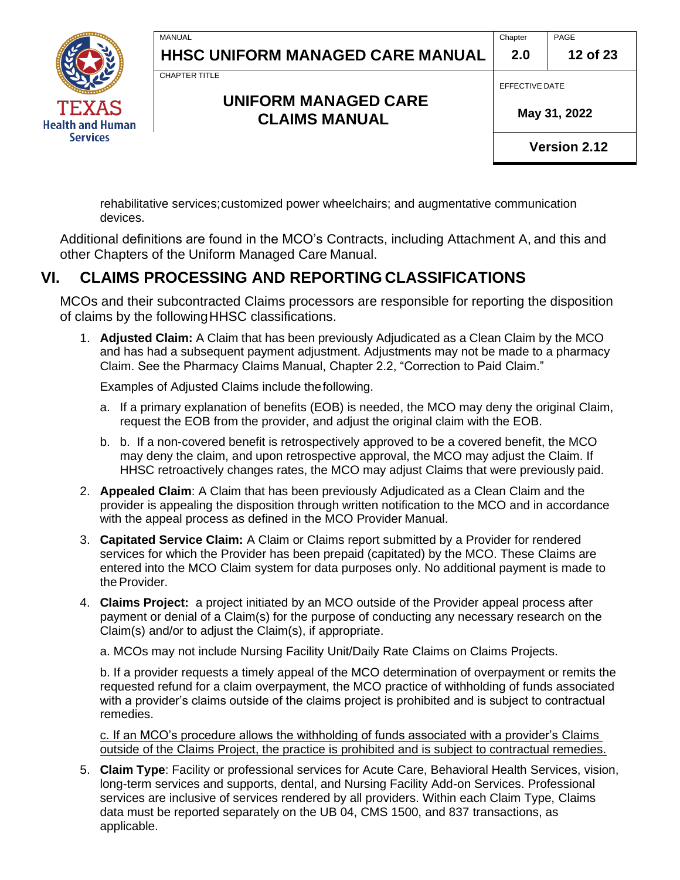**Chapter 2.0** PAGE **12 of 23**



CHAPTER TITLE

MANUAL

### **UNIFORM MANAGED CARE CLAIMS MANUAL**

EFFECTIVE DATE

 **May 31, 2022**

**Version 2.12**

rehabilitative services;customized power wheelchairs; and augmentative communication devices.

Additional definitions are found in the MCO's Contracts, including Attachment A, and this and other Chapters of the Uniform Managed Care Manual.

### <span id="page-11-0"></span>**VI. CLAIMS PROCESSING AND REPORTING CLASSIFICATIONS**

MCOs and their subcontracted Claims processors are responsible for reporting the disposition of claims by the followingHHSC classifications.

1. **Adjusted Claim:** A Claim that has been previously Adjudicated as a Clean Claim by the MCO and has had a subsequent payment adjustment. Adjustments may not be made to a pharmacy Claim. See the Pharmacy Claims Manual, Chapter 2.2, "Correction to Paid Claim."

Examples of Adjusted Claims include thefollowing.

- a. If a primary explanation of benefits (EOB) is needed, the MCO may deny the original Claim, request the EOB from the provider, and adjust the original claim with the EOB.
- b. b. If a non-covered benefit is retrospectively approved to be a covered benefit, the MCO may deny the claim, and upon retrospective approval, the MCO may adjust the Claim. If HHSC retroactively changes rates, the MCO may adjust Claims that were previously paid.
- 2. **Appealed Claim**: A Claim that has been previously Adjudicated as a Clean Claim and the provider is appealing the disposition through written notification to the MCO and in accordance with the appeal process as defined in the MCO Provider Manual.
- 3. **Capitated Service Claim:** A Claim or Claims report submitted by a Provider for rendered services for which the Provider has been prepaid (capitated) by the MCO. These Claims are entered into the MCO Claim system for data purposes only. No additional payment is made to the Provider.
- 4. **Claims Project:** a project initiated by an MCO outside of the Provider appeal process after payment or denial of a Claim(s) for the purpose of conducting any necessary research on the Claim(s) and/or to adjust the Claim(s), if appropriate.

a. MCOs may not include Nursing Facility Unit/Daily Rate Claims on Claims Projects.

b. If a provider requests a timely appeal of the MCO determination of overpayment or remits the requested refund for a claim overpayment, the MCO practice of withholding of funds associated with a provider's claims outside of the claims project is prohibited and is subject to contractual remedies.

c. If an MCO's procedure allows the withholding of funds associated with a provider's Claims outside of the Claims Project, the practice is prohibited and is subject to contractual remedies.

5. **Claim Type**: Facility or professional services for Acute Care, Behavioral Health Services, vision, long-term services and supports, dental, and Nursing Facility Add-on Services. Professional services are inclusive of services rendered by all providers. Within each Claim Type, Claims data must be reported separately on the UB 04, CMS 1500, and 837 transactions, as applicable.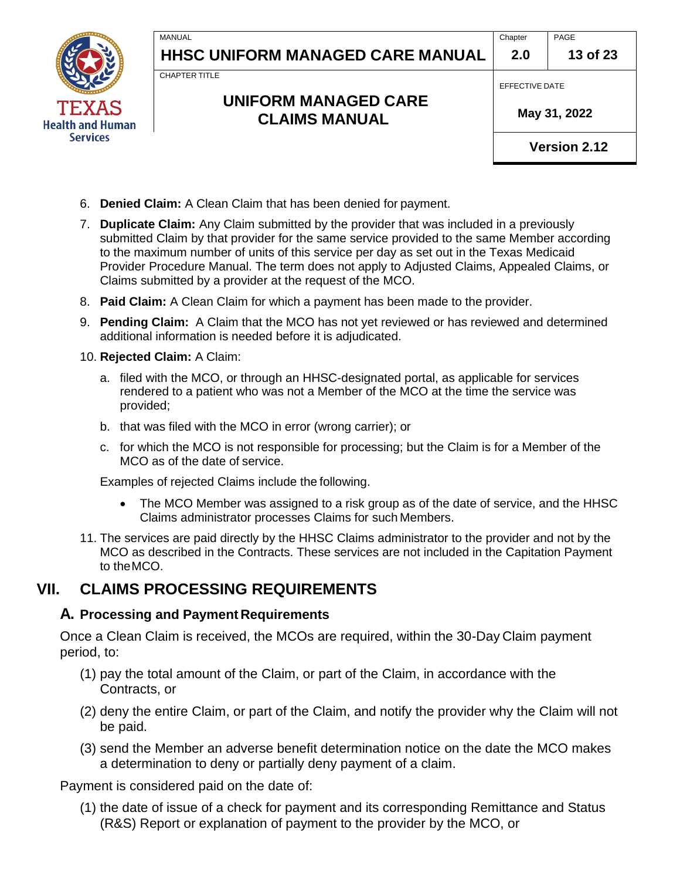CHAPTER TITLE

MANUAL

### **UNIFORM MANAGED CARE CLAIMS MANUAL**

EFFECTIVE DATE

 **May 31, 2022**

**Version 2.12**

- 6. **Denied Claim:** A Clean Claim that has been denied for payment.
- 7. **Duplicate Claim:** Any Claim submitted by the provider that was included in a previously submitted Claim by that provider for the same service provided to the same Member according to the maximum number of units of this service per day as set out in the Texas Medicaid Provider Procedure Manual. The term does not apply to Adjusted Claims, Appealed Claims, or Claims submitted by a provider at the request of the MCO.
- 8. **Paid Claim:** A Clean Claim for which a payment has been made to the provider.
- 9. **Pending Claim:** A Claim that the MCO has not yet reviewed or has reviewed and determined additional information is needed before it is adjudicated.
- 10. **Rejected Claim:** A Claim:
	- a. filed with the MCO, or through an HHSC-designated portal, as applicable for services rendered to a patient who was not a Member of the MCO at the time the service was provided;
	- b. that was filed with the MCO in error (wrong carrier); or
	- c. for which the MCO is not responsible for processing; but the Claim is for a Member of the MCO as of the date of service.

Examples of rejected Claims include the following.

- The MCO Member was assigned to a risk group as of the date of service, and the HHSC Claims administrator processes Claims for such Members.
- 11. The services are paid directly by the HHSC Claims administrator to the provider and not by the MCO as described in the Contracts. These services are not included in the Capitation Payment to theMCO.

### <span id="page-12-0"></span>**VII. CLAIMS PROCESSING REQUIREMENTS**

#### **A. Processing and Payment Requirements**

Once a Clean Claim is received, the MCOs are required, within the 30-Day Claim payment period, to:

- (1) pay the total amount of the Claim, or part of the Claim, in accordance with the Contracts, or
- (2) deny the entire Claim, or part of the Claim, and notify the provider why the Claim will not be paid.
- (3) send the Member an adverse benefit determination notice on the date the MCO makes a determination to deny or partially deny payment of a claim.

Payment is considered paid on the date of:

(1) the date of issue of a check for payment and its corresponding Remittance and Status (R&S) Report or explanation of payment to the provider by the MCO, or

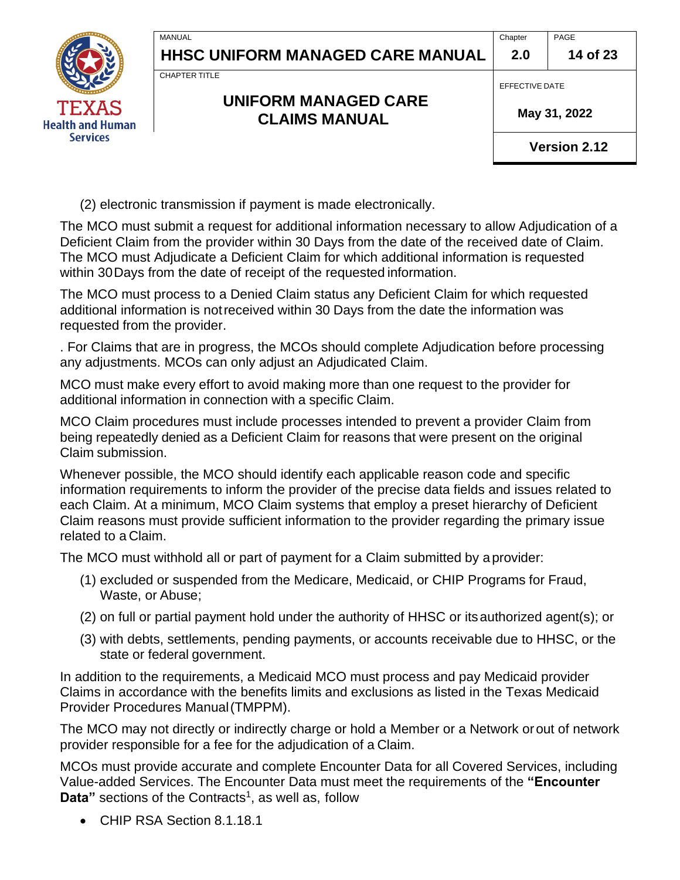**14 of 23**

CHAPTER TITLE

### **UNIFORM MANAGED CARE CLAIMS MANUAL**

EFFECTIVE DATE

 **May 31, 2022**

**Version 2.12**

(2) electronic transmission if payment is made electronically.

The MCO must submit a request for additional information necessary to allow Adjudication of a Deficient Claim from the provider within 30 Days from the date of the received date of Claim. The MCO must Adjudicate a Deficient Claim for which additional information is requested within 30Days from the date of receipt of the requested information.

The MCO must process to a Denied Claim status any Deficient Claim for which requested additional information is notreceived within 30 Days from the date the information was requested from the provider.

. For Claims that are in progress, the MCOs should complete Adjudication before processing any adjustments. MCOs can only adjust an Adjudicated Claim.

MCO must make every effort to avoid making more than one request to the provider for additional information in connection with a specific Claim.

MCO Claim procedures must include processes intended to prevent a provider Claim from being repeatedly denied as a Deficient Claim for reasons that were present on the original Claim submission.

Whenever possible, the MCO should identify each applicable reason code and specific information requirements to inform the provider of the precise data fields and issues related to each Claim. At a minimum, MCO Claim systems that employ a preset hierarchy of Deficient Claim reasons must provide sufficient information to the provider regarding the primary issue related to a Claim.

The MCO must withhold all or part of payment for a Claim submitted by aprovider:

- (1) excluded or suspended from the Medicare, Medicaid, or CHIP Programs for Fraud, Waste, or Abuse;
- (2) on full or partial payment hold under the authority of HHSC or itsauthorized agent(s); or
- (3) with debts, settlements, pending payments, or accounts receivable due to HHSC, or the state or federal government.

In addition to the requirements, a Medicaid MCO must process and pay Medicaid provider Claims in accordance with the benefits limits and exclusions as listed in the Texas Medicaid Provider Procedures Manual(TMPPM).

The MCO may not directly or indirectly charge or hold a Member or a Network orout of network provider responsible for a fee for the adjudication of a Claim.

MCOs must provide accurate and complete Encounter Data for all Covered Services, including Value-added Services. The Encounter Data must meet the requirements of the **"Encounter**  Data" sections of the Contracts<sup>1</sup>, as well as, follow

• CHIP RSA Section 8.1.18.1

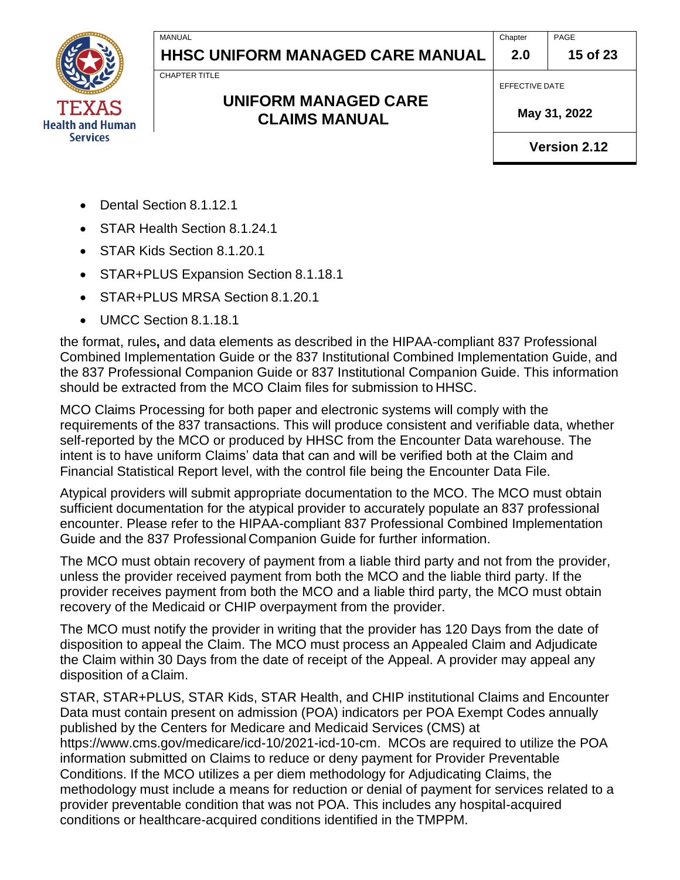**Chapter 2.0** PAGE

**15 of 23**

CHAPTER TITLE

MANUAL

### **UNIFORM MANAGED CARE CLAIMS MANUAL**

 **May 31, 2022**

EFFECTIVE DATE

**Version 2.12**

- Dental Section 8.1.12.1
- STAR Health Section 8.1.24.1
- STAR Kids Section 8.1.20.1
- STAR+PLUS Expansion Section 8.1.18.1
- STAR+PLUS MRSA Section 8.1.20.1
- UMCC Section 8.1.18.1

the format, rules**,** and data elements as described in the HIPAA-compliant 837 Professional Combined Implementation Guide or the 837 Institutional Combined Implementation Guide, and the 837 Professional Companion Guide or 837 Institutional Companion Guide. This information should be extracted from the MCO Claim files for submission to HHSC.

MCO Claims Processing for both paper and electronic systems will comply with the requirements of the 837 transactions. This will produce consistent and verifiable data, whether self-reported by the MCO or produced by HHSC from the Encounter Data warehouse. The intent is to have uniform Claims' data that can and will be verified both at the Claim and Financial Statistical Report level, with the control file being the Encounter Data File.

Atypical providers will submit appropriate documentation to the MCO. The MCO must obtain sufficient documentation for the atypical provider to accurately populate an 837 professional encounter. Please refer to the HIPAA-compliant 837 Professional Combined Implementation Guide and the 837 Professional Companion Guide for further information.

The MCO must obtain recovery of payment from a liable third party and not from the provider, unless the provider received payment from both the MCO and the liable third party. If the provider receives payment from both the MCO and a liable third party, the MCO must obtain recovery of the Medicaid or CHIP overpayment from the provider.

The MCO must notify the provider in writing that the provider has 120 Days from the date of disposition to appeal the Claim. The MCO must process an Appealed Claim and Adjudicate the Claim within 30 Days from the date of receipt of the Appeal. A provider may appeal any disposition of aClaim.

STAR, STAR+PLUS, STAR Kids, STAR Health, and CHIP institutional Claims and Encounter Data must contain present on admission (POA) indicators per POA Exempt Codes annually published by the Centers for Medicare and Medicaid Services (CMS) at https://www.cms.gov/medicare/icd-10/2021-icd-10-cm. MCOs are required to utilize the POA information submitted on Claims to reduce or deny payment for Provider Preventable Conditions. If the MCO utilizes a per diem methodology for Adjudicating Claims, the methodology must include a means for reduction or denial of payment for services related to a provider preventable condition that was not POA. This includes any hospital-acquired conditions or healthcare-acquired conditions identified in the TMPPM.

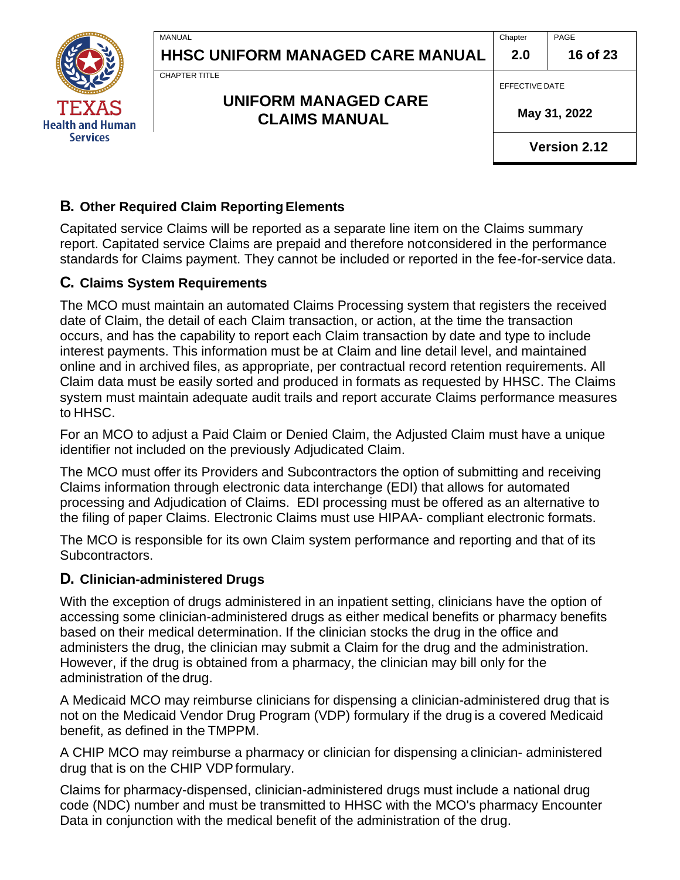

**Chapter 2.0** PAGE

**16 of 23**

CHAPTER TITLE

**MANUAL** 

### **UNIFORM MANAGED CARE CLAIMS MANUAL**

EFFECTIVE DATE

 **May 31, 2022**

**Version 2.12**

### **B. Other Required Claim Reporting Elements**

Capitated service Claims will be reported as a separate line item on the Claims summary report. Capitated service Claims are prepaid and therefore notconsidered in the performance standards for Claims payment. They cannot be included or reported in the fee-for-service data.

#### **C. Claims System Requirements**

The MCO must maintain an automated Claims Processing system that registers the received date of Claim, the detail of each Claim transaction, or action, at the time the transaction occurs, and has the capability to report each Claim transaction by date and type to include interest payments. This information must be at Claim and line detail level, and maintained online and in archived files, as appropriate, per contractual record retention requirements. All Claim data must be easily sorted and produced in formats as requested by HHSC. The Claims system must maintain adequate audit trails and report accurate Claims performance measures to HHSC.

For an MCO to adjust a Paid Claim or Denied Claim, the Adjusted Claim must have a unique identifier not included on the previously Adjudicated Claim.

The MCO must offer its Providers and Subcontractors the option of submitting and receiving Claims information through electronic data interchange (EDI) that allows for automated processing and Adjudication of Claims. EDI processing must be offered as an alternative to the filing of paper Claims. Electronic Claims must use HIPAA- compliant electronic formats.

The MCO is responsible for its own Claim system performance and reporting and that of its Subcontractors.

#### **D. Clinician-administered Drugs**

With the exception of drugs administered in an inpatient setting, clinicians have the option of accessing some clinician-administered drugs as either medical benefits or pharmacy benefits based on their medical determination. If the clinician stocks the drug in the office and administers the drug, the clinician may submit a Claim for the drug and the administration. However, if the drug is obtained from a pharmacy, the clinician may bill only for the administration of the drug.

A Medicaid MCO may reimburse clinicians for dispensing a clinician-administered drug that is not on the Medicaid Vendor Drug Program (VDP) formulary if the drug is a covered Medicaid benefit, as defined in the TMPPM.

A CHIP MCO may reimburse a pharmacy or clinician for dispensing a clinician- administered drug that is on the CHIP VDPformulary.

Claims for pharmacy-dispensed, clinician-administered drugs must include a national drug code (NDC) number and must be transmitted to HHSC with the MCO's pharmacy Encounter Data in conjunction with the medical benefit of the administration of the drug.

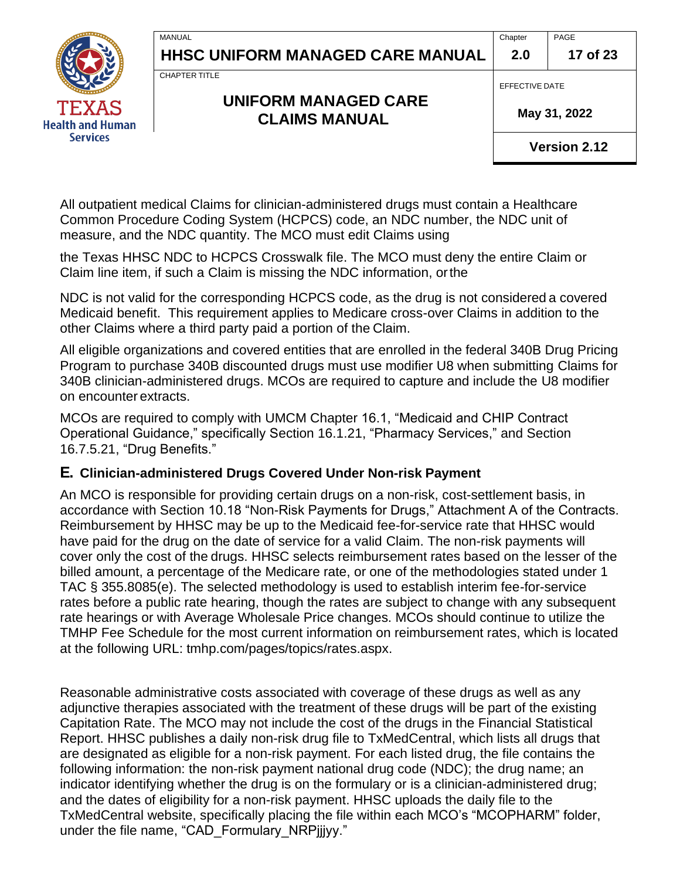**Chapter 2.0**

**17 of 23**



CHAPTER TITLE

### **UNIFORM MANAGED CARE CLAIMS MANUAL**

EFFECTIVE DATE

 **May 31, 2022**

PAGE

**Version 2.12**

All outpatient medical Claims for clinician-administered drugs must contain a Healthcare Common Procedure Coding System (HCPCS) code, an NDC number, the NDC unit of measure, and the NDC quantity. The MCO must edit Claims using

the Texas HHSC NDC to HCPCS Crosswalk file. The MCO must deny the entire Claim or Claim line item, if such a Claim is missing the NDC information, orthe

NDC is not valid for the corresponding HCPCS code, as the drug is not considered a covered Medicaid benefit. This requirement applies to Medicare cross-over Claims in addition to the other Claims where a third party paid a portion of the Claim.

All eligible organizations and covered entities that are enrolled in the federal 340B Drug Pricing Program to purchase 340B discounted drugs must use modifier U8 when submitting Claims for 340B clinician-administered drugs. MCOs are required to capture and include the U8 modifier on encounter extracts.

MCOs are required to comply with UMCM Chapter 16.1, "Medicaid and CHIP Contract Operational Guidance," specifically Section 16.1.21, "Pharmacy Services," and Section 16.7.5.21, "Drug Benefits."

#### **E. Clinician-administered Drugs Covered Under Non-risk Payment**

An MCO is responsible for providing certain drugs on a non-risk, cost-settlement basis, in accordance with Section 10.18 "Non-Risk Payments for Drugs," Attachment A of the Contracts. Reimbursement by HHSC may be up to the Medicaid fee-for-service rate that HHSC would have paid for the drug on the date of service for a valid Claim. The non-risk payments will cover only the cost of the drugs. HHSC selects reimbursement rates based on the lesser of the billed amount, a percentage of the Medicare rate, or one of the methodologies stated under 1 TAC § 355.8085(e). The selected methodology is used to establish interim fee-for-service rates before a public rate hearing, though the rates are subject to change with any subsequent rate hearings or with Average Wholesale Price changes. MCOs should continue to utilize the TMHP Fee Schedule for the most current information on reimbursement rates, which is located at the following URL: tmhp.com/pages/topics/rates.aspx.

Reasonable administrative costs associated with coverage of these drugs as well as any adjunctive therapies associated with the treatment of these drugs will be part of the existing Capitation Rate. The MCO may not include the cost of the drugs in the Financial Statistical Report. HHSC publishes a daily non-risk drug file to TxMedCentral, which lists all drugs that are designated as eligible for a non-risk payment. For each listed drug, the file contains the following information: the non-risk payment national drug code (NDC); the drug name; an indicator identifying whether the drug is on the formulary or is a clinician-administered drug; and the dates of eligibility for a non-risk payment. HHSC uploads the daily file to the TxMedCentral website, specifically placing the file within each MCO's "MCOPHARM" folder, under the file name, "CAD\_Formulary\_NRPjjjyy."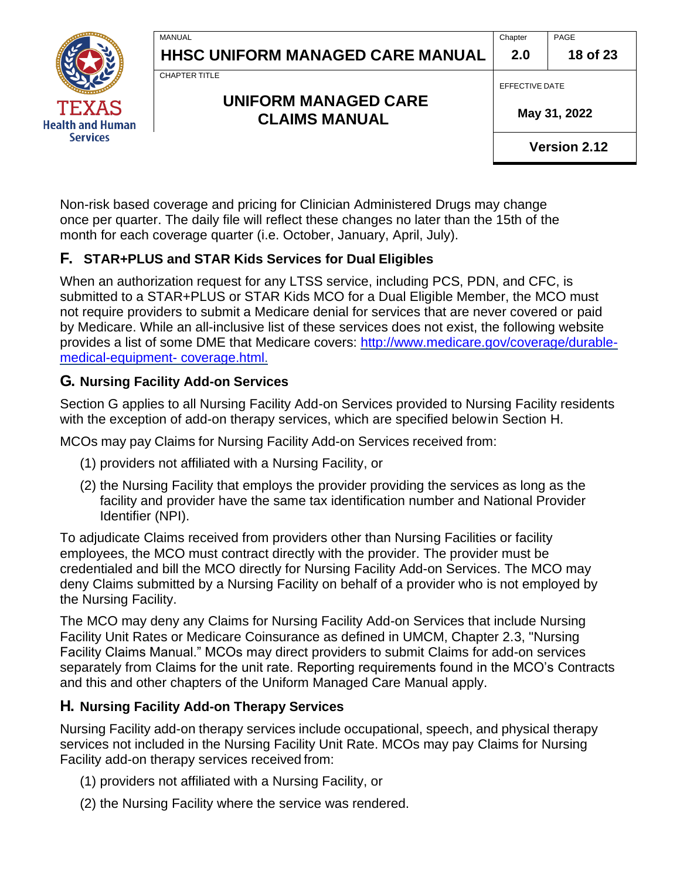**Chapter 2.0**

PAGE **18 of 23**



CHAPTER TITLE

**MANUAL** 

### **UNIFORM MANAGED CARE CLAIMS MANUAL**

EFFECTIVE DATE

 **May 31, 2022**

**Version 2.12**

Non-risk based coverage and pricing for Clinician Administered Drugs may change once per quarter. The daily file will reflect these changes no later than the 15th of the month for each coverage quarter (i.e. October, January, April, July).

### **F. STAR+PLUS and STAR Kids Services for Dual Eligibles**

When an authorization request for any LTSS service, including PCS, PDN, and CFC, is submitted to a STAR+PLUS or STAR Kids MCO for a Dual Eligible Member, the MCO must not require providers to submit a Medicare denial for services that are never covered or paid by Medicare. While an all-inclusive list of these services does not exist, the following website provides a list of some DME that Medicare covers: [http://www.medicare.gov/coverage/durable](http://www.medicare.gov/coverage/durable-medical-equipment-%20coverage.html)[medical-equipment-](http://www.medicare.gov/coverage/durable-medical-equipment-%20coverage.html) coverage.html.

### **G. Nursing Facility Add-on Services**

Section G applies to all Nursing Facility Add-on Services provided to Nursing Facility residents with the exception of add-on therapy services, which are specified belowin Section H.

MCOs may pay Claims for Nursing Facility Add-on Services received from:

- (1) providers not affiliated with a Nursing Facility, or
- (2) the Nursing Facility that employs the provider providing the services as long as the facility and provider have the same tax identification number and National Provider Identifier (NPI).

To adjudicate Claims received from providers other than Nursing Facilities or facility employees, the MCO must contract directly with the provider. The provider must be credentialed and bill the MCO directly for Nursing Facility Add-on Services. The MCO may deny Claims submitted by a Nursing Facility on behalf of a provider who is not employed by the Nursing Facility.

The MCO may deny any Claims for Nursing Facility Add-on Services that include Nursing Facility Unit Rates or Medicare Coinsurance as defined in UMCM, Chapter 2.3, "Nursing Facility Claims Manual." MCOs may direct providers to submit Claims for add-on services separately from Claims for the unit rate. Reporting requirements found in the MCO's Contracts and this and other chapters of the Uniform Managed Care Manual apply.

### **H. Nursing Facility Add-on Therapy Services**

Nursing Facility add-on therapy services include occupational, speech, and physical therapy services not included in the Nursing Facility Unit Rate. MCOs may pay Claims for Nursing Facility add-on therapy services received from:

- (1) providers not affiliated with a Nursing Facility, or
- (2) the Nursing Facility where the service was rendered.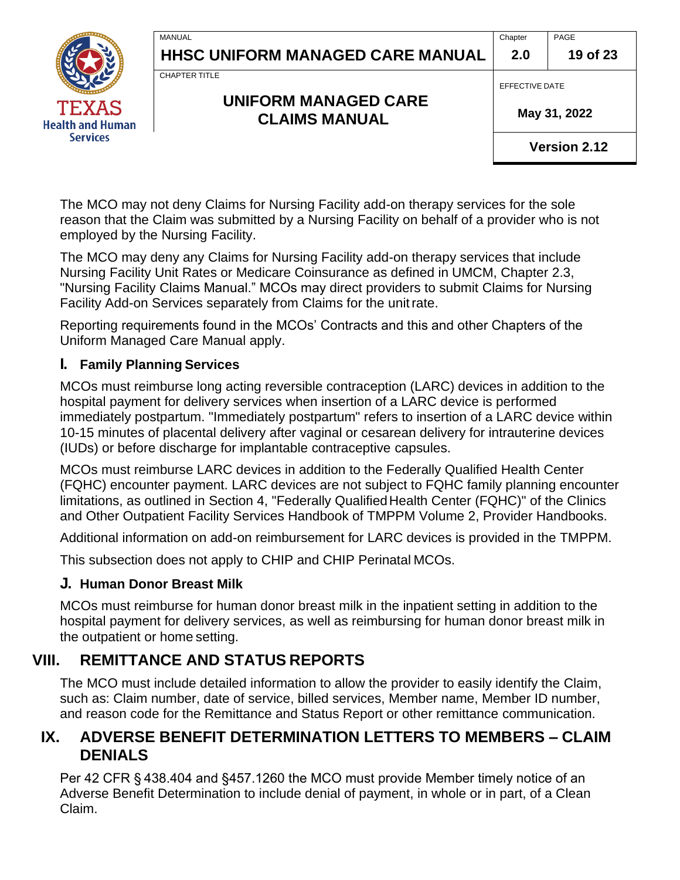

CHAPTER TITLE

**MANUAL** 

### **UNIFORM MANAGED CARE CLAIMS MANUAL**

EFFECTIVE DATE

 **May 31, 2022**

**Version 2.12**

The MCO may not deny Claims for Nursing Facility add-on therapy services for the sole reason that the Claim was submitted by a Nursing Facility on behalf of a provider who is not employed by the Nursing Facility.

The MCO may deny any Claims for Nursing Facility add-on therapy services that include Nursing Facility Unit Rates or Medicare Coinsurance as defined in UMCM, Chapter 2.3, "Nursing Facility Claims Manual." MCOs may direct providers to submit Claims for Nursing Facility Add-on Services separately from Claims for the unitrate.

Reporting requirements found in the MCOs' Contracts and this and other Chapters of the Uniform Managed Care Manual apply.

#### **I. Family Planning Services**

MCOs must reimburse long acting reversible contraception (LARC) devices in addition to the hospital payment for delivery services when insertion of a LARC device is performed immediately postpartum. "Immediately postpartum" refers to insertion of a LARC device within 10-15 minutes of placental delivery after vaginal or cesarean delivery for intrauterine devices (IUDs) or before discharge for implantable contraceptive capsules.

MCOs must reimburse LARC devices in addition to the Federally Qualified Health Center (FQHC) encounter payment. LARC devices are not subject to FQHC family planning encounter limitations, as outlined in Section 4, "Federally Qualified Health Center (FQHC)" of the Clinics and Other Outpatient Facility Services Handbook of TMPPM Volume 2, Provider Handbooks.

Additional information on add-on reimbursement for LARC devices is provided in the TMPPM.

This subsection does not apply to CHIP and CHIP Perinatal MCOs.

#### **J. Human Donor Breast Milk**

MCOs must reimburse for human donor breast milk in the inpatient setting in addition to the hospital payment for delivery services, as well as reimbursing for human donor breast milk in the outpatient or home setting.

# <span id="page-18-0"></span>**VIII. REMITTANCE AND STATUS REPORTS**

The MCO must include detailed information to allow the provider to easily identify the Claim, such as: Claim number, date of service, billed services, Member name, Member ID number, and reason code for the Remittance and Status Report or other remittance communication.

### **IX. ADVERSE BENEFIT DETERMINATION LETTERS TO MEMBERS – CLAIM DENIALS**

Per 42 CFR § 438.404 and §457.1260 the MCO must provide Member timely notice of an Adverse Benefit Determination to include denial of payment, in whole or in part, of a Clean Claim.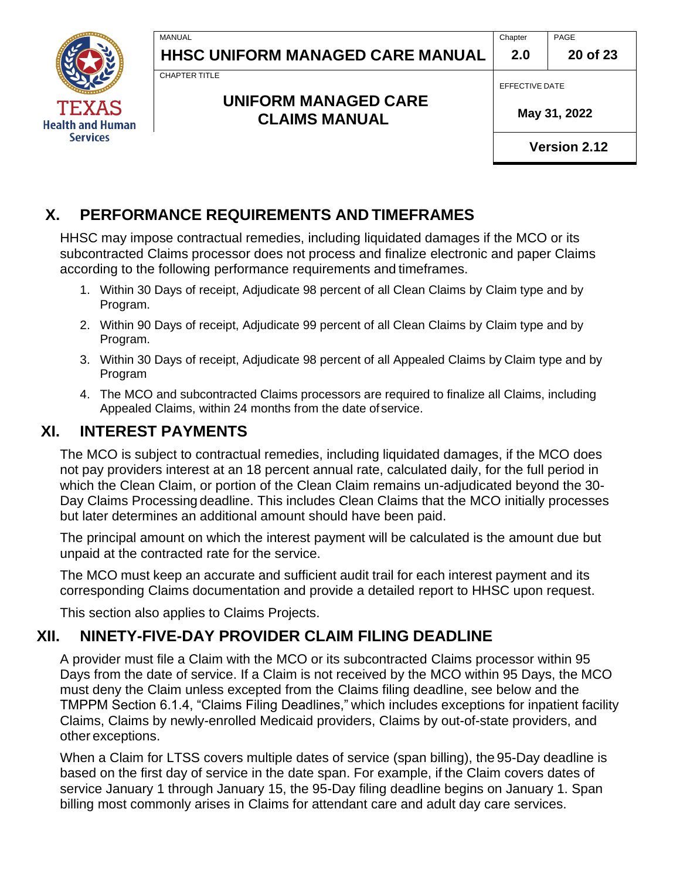**Chapter 2.0**



**Health and Human Services** 

**HHSC UNIFORM MANAGED CARE MANUAL**

CHAPTER TITLE

MANUAL

#### **UNIFORM MANAGED CARE CLAIMS MANUAL**

EFFECTIVE DATE

 **May 31, 2022**

**Version 2.12**

# <span id="page-19-0"></span>**X. PERFORMANCE REQUIREMENTS AND TIMEFRAMES**

HHSC may impose contractual remedies, including liquidated damages if the MCO or its subcontracted Claims processor does not process and finalize electronic and paper Claims according to the following performance requirements and timeframes.

- 1. Within 30 Days of receipt, Adjudicate 98 percent of all Clean Claims by Claim type and by Program.
- 2. Within 90 Days of receipt, Adjudicate 99 percent of all Clean Claims by Claim type and by Program.
- 3. Within 30 Days of receipt, Adjudicate 98 percent of all Appealed Claims by Claim type and by Program
- 4. The MCO and subcontracted Claims processors are required to finalize all Claims, including Appealed Claims, within 24 months from the date of service.

### <span id="page-19-1"></span>**XI. INTEREST PAYMENTS**

The MCO is subject to contractual remedies, including liquidated damages, if the MCO does not pay providers interest at an 18 percent annual rate, calculated daily, for the full period in which the Clean Claim, or portion of the Clean Claim remains un-adjudicated beyond the 30- Day Claims Processing deadline. This includes Clean Claims that the MCO initially processes but later determines an additional amount should have been paid.

The principal amount on which the interest payment will be calculated is the amount due but unpaid at the contracted rate for the service.

The MCO must keep an accurate and sufficient audit trail for each interest payment and its corresponding Claims documentation and provide a detailed report to HHSC upon request.

<span id="page-19-2"></span>This section also applies to Claims Projects.

# **XII. NINETY-FIVE-DAY PROVIDER CLAIM FILING DEADLINE**

A provider must file a Claim with the MCO or its subcontracted Claims processor within 95 Days from the date of service. If a Claim is not received by the MCO within 95 Days, the MCO must deny the Claim unless excepted from the Claims filing deadline, see below and the TMPPM Section 6.1.4, "Claims Filing Deadlines," which includes exceptions for inpatient facility Claims, Claims by newly-enrolled Medicaid providers, Claims by out-of-state providers, and other exceptions.

When a Claim for LTSS covers multiple dates of service (span billing), the 95-Day deadline is based on the first day of service in the date span. For example, if the Claim covers dates of service January 1 through January 15, the 95-Day filing deadline begins on January 1. Span billing most commonly arises in Claims for attendant care and adult day care services.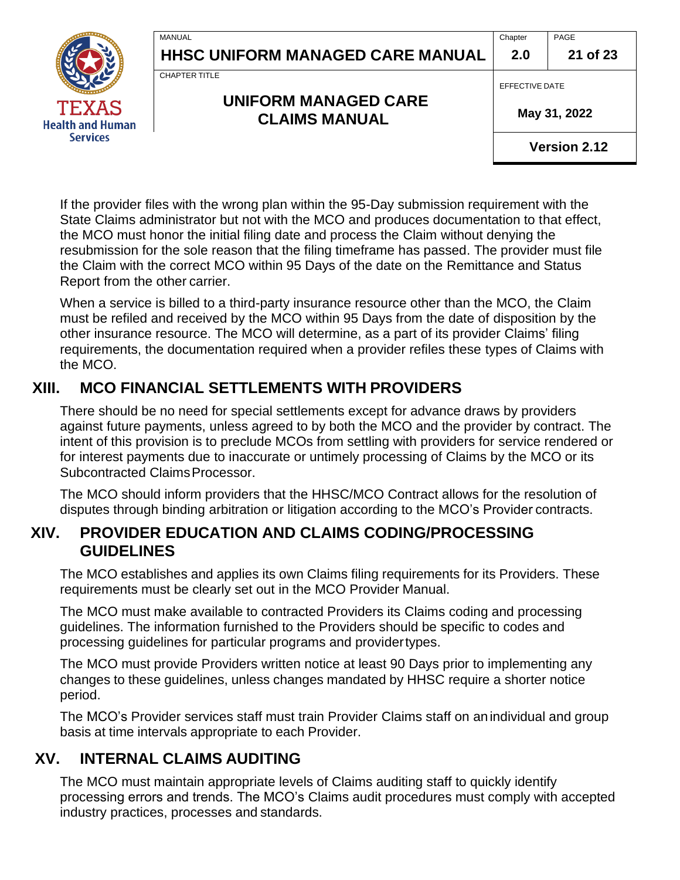**Chapter** PAGE

**2.0**

**21 of 23**

CHAPTER TITLE

MANUAL

#### **UNIFORM MANAGED CARE CLAIMS MANUAL**

EFFECTIVE DATE

 **May 31, 2022**

**Version 2.12**

If the provider files with the wrong plan within the 95-Day submission requirement with the State Claims administrator but not with the MCO and produces documentation to that effect, the MCO must honor the initial filing date and process the Claim without denying the resubmission for the sole reason that the filing timeframe has passed. The provider must file the Claim with the correct MCO within 95 Days of the date on the Remittance and Status Report from the other carrier.

When a service is billed to a third-party insurance resource other than the MCO, the Claim must be refiled and received by the MCO within 95 Days from the date of disposition by the other insurance resource. The MCO will determine, as a part of its provider Claims' filing requirements, the documentation required when a provider refiles these types of Claims with the MCO.

### <span id="page-20-0"></span>**XIII. MCO FINANCIAL SETTLEMENTS WITH PROVIDERS**

There should be no need for special settlements except for advance draws by providers against future payments, unless agreed to by both the MCO and the provider by contract. The intent of this provision is to preclude MCOs from settling with providers for service rendered or for interest payments due to inaccurate or untimely processing of Claims by the MCO or its Subcontracted ClaimsProcessor.

The MCO should inform providers that the HHSC/MCO Contract allows for the resolution of disputes through binding arbitration or litigation according to the MCO's Provider contracts.

### **XIV. PROVIDER EDUCATION AND CLAIMS CODING/PROCESSING GUIDELINES**

The MCO establishes and applies its own Claims filing requirements for its Providers. These requirements must be clearly set out in the MCO Provider Manual.

The MCO must make available to contracted Providers its Claims coding and processing guidelines. The information furnished to the Providers should be specific to codes and processing guidelines for particular programs and providertypes.

The MCO must provide Providers written notice at least 90 Days prior to implementing any changes to these guidelines, unless changes mandated by HHSC require a shorter notice period.

The MCO's Provider services staff must train Provider Claims staff on an individual and group basis at time intervals appropriate to each Provider.

### **XV. INTERNAL CLAIMS AUDITING**

The MCO must maintain appropriate levels of Claims auditing staff to quickly identify processing errors and trends. The MCO's Claims audit procedures must comply with accepted industry practices, processes and standards.

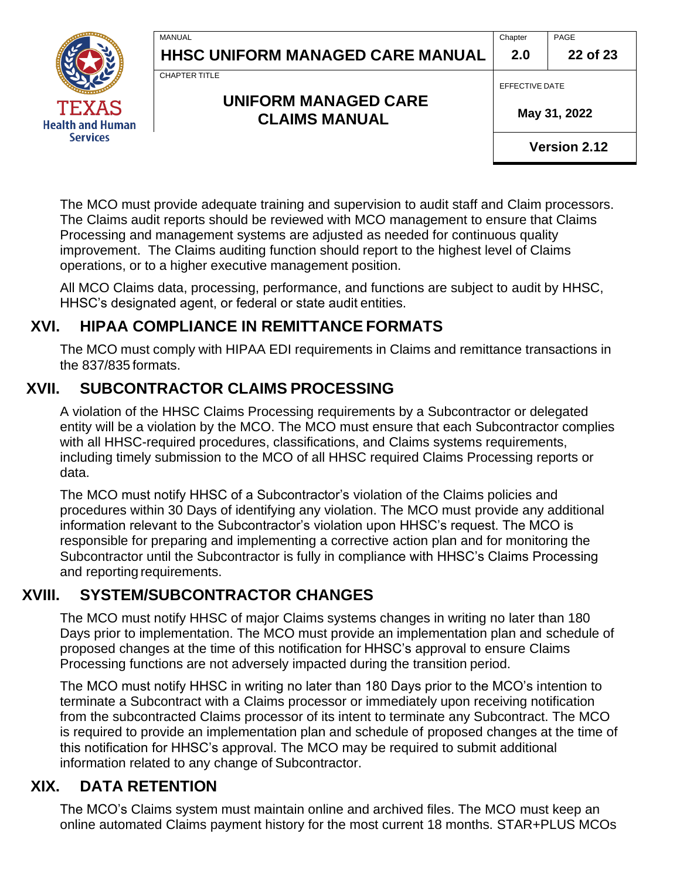**Chapter 2.0** PAGE

**22 of 23**



**MANUAL** 

CHAPTER TITLE

**UNIFORM MANAGED CARE CLAIMS MANUAL**

EFFECTIVE DATE

 **May 31, 2022**

**Version 2.12**

The MCO must provide adequate training and supervision to audit staff and Claim processors. The Claims audit reports should be reviewed with MCO management to ensure that Claims Processing and management systems are adjusted as needed for continuous quality improvement. The Claims auditing function should report to the highest level of Claims operations, or to a higher executive management position.

All MCO Claims data, processing, performance, and functions are subject to audit by HHSC, HHSC's designated agent, or federal or state audit entities.

# <span id="page-21-0"></span>**XVI. HIPAA COMPLIANCE IN REMITTANCE FORMATS**

The MCO must comply with HIPAA EDI requirements in Claims and remittance transactions in the 837/835 formats.

# **XVII. SUBCONTRACTOR CLAIMS PROCESSING**

<span id="page-21-1"></span>A violation of the HHSC Claims Processing requirements by a Subcontractor or delegated entity will be a violation by the MCO. The MCO must ensure that each Subcontractor complies with all HHSC-required procedures, classifications, and Claims systems requirements, including timely submission to the MCO of all HHSC required Claims Processing reports or data.

The MCO must notify HHSC of a Subcontractor's violation of the Claims policies and procedures within 30 Days of identifying any violation. The MCO must provide any additional information relevant to the Subcontractor's violation upon HHSC's request. The MCO is responsible for preparing and implementing a corrective action plan and for monitoring the Subcontractor until the Subcontractor is fully in compliance with HHSC's Claims Processing and reporting requirements.

# **XVIII. SYSTEM/SUBCONTRACTOR CHANGES**

<span id="page-21-2"></span>The MCO must notify HHSC of major Claims systems changes in writing no later than 180 Days prior to implementation. The MCO must provide an implementation plan and schedule of proposed changes at the time of this notification for HHSC's approval to ensure Claims Processing functions are not adversely impacted during the transition period.

The MCO must notify HHSC in writing no later than 180 Days prior to the MCO's intention to terminate a Subcontract with a Claims processor or immediately upon receiving notification from the subcontracted Claims processor of its intent to terminate any Subcontract. The MCO is required to provide an implementation plan and schedule of proposed changes at the time of this notification for HHSC's approval. The MCO may be required to submit additional information related to any change of Subcontractor.

# <span id="page-21-3"></span>**XIX. DATA RETENTION**

The MCO's Claims system must maintain online and archived files. The MCO must keep an online automated Claims payment history for the most current 18 months. STAR+PLUS MCOs